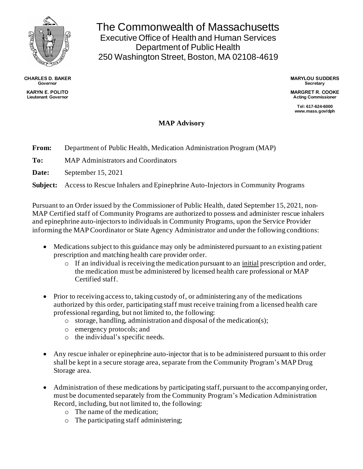

**CHARLES D. BAKER Governor KARYN E. POLITO**

**Lieutenant Governor**

The Commonwealth of Massachusetts Executive Office of Health and Human Services Department of Public Health 250 Washington Street, Boston, MA 02108-4619

> **MARYLOU SUDDERS Secretary**

**MARGRET R. COOKE Acting Commissioner**

**Tel: 617-624-6000 www.mass.gov/dph**

## **MAP Advisory**

**From:** Department of Public Health, Medication Administration Program (MAP)

**To:** MAP Administrators and Coordinators

**Date:** September 15, 2021

**Subject:** Access to Rescue Inhalers and Epinephrine Auto-Injectors in Community Programs

Pursuant to an Order issued by the Commissioner of Public Health, dated September 15, 2021, non-MAP Certified staff of Community Programs are authorized to possess and administer rescue inhalers and epinephrine auto-injectorsto individuals in Community Programs, upon the Service Provider informing the MAP Coordinator or State Agency Administrator and under the following conditions:

- Medications subject to this guidance may only be administered pursuant to an existing patient prescription and matching health care provider order.
	- o If an individual is receiving the medication pursuant to an initial prescription and order, the medication must be administered by licensed health care professional or MAP Certified staff.
- Prior to receiving access to, taking custody of, or administering any of the medications authorized by this order, participating staff must receive training from a licensed health care professional regarding, but not limited to, the following:
	- o storage, handling, administration and disposal of the medication(s);
	- o emergency protocols; and
	- o the individual's specific needs.
- Any rescue inhaler or epinephrine auto-injector that is to be administered pursuant to this order shall be kept in a secure storage area, separate from the Community Program's MAP Drug Storage area.
- Administration of these medications by participating staff, pursuant to the accompanying order, must be documented separately from the Community Program's Medication Administration Record, including, but not limited to, the following:
	- o The name of the medication;
	- o The participating staff administering;